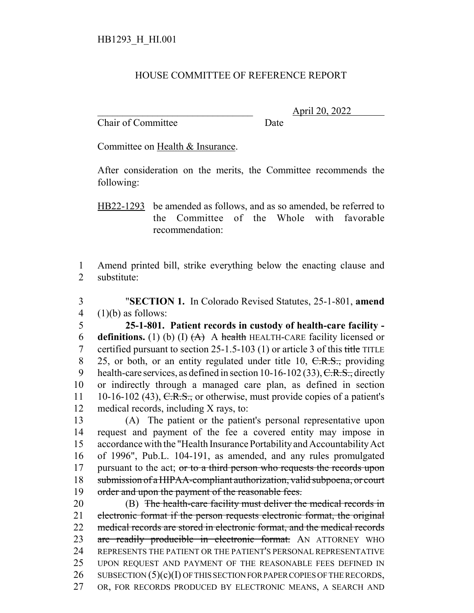## HOUSE COMMITTEE OF REFERENCE REPORT

Chair of Committee Date

\_\_\_\_\_\_\_\_\_\_\_\_\_\_\_\_\_\_\_\_\_\_\_\_\_\_\_\_\_\_\_ April 20, 2022

Committee on Health & Insurance.

After consideration on the merits, the Committee recommends the following:

HB22-1293 be amended as follows, and as so amended, be referred to the Committee of the Whole with favorable recommendation:

1 Amend printed bill, strike everything below the enacting clause and 2 substitute:

3 "**SECTION 1.** In Colorado Revised Statutes, 25-1-801, **amend** 4  $(1)(b)$  as follows:

5 **25-1-801. Patient records in custody of health-care facility -** 6 **definitions.** (1) (b) (I)  $(A)$  A health HEALTH-CARE facility licensed or 7 certified pursuant to section 25-1.5-103 (1) or article 3 of this title TITLE 8 25, or both, or an entity regulated under title 10, C.R.S., providing 9 health-care services, as defined in section  $10-16-102(33)$ , C.R.S., directly 10 or indirectly through a managed care plan, as defined in section 11 10-16-102 (43),  $C.R.S.,$  or otherwise, must provide copies of a patient's 12 medical records, including X rays, to:

13 (A) The patient or the patient's personal representative upon 14 request and payment of the fee a covered entity may impose in 15 accordance with the "Health Insurance Portability and Accountability Act 16 of 1996", Pub.L. 104-191, as amended, and any rules promulgated 17 pursuant to the act; or to a third person who requests the records upon 18 submission of a HIPAA-compliant authorization, valid subpoena, or court 19 order and upon the payment of the reasonable fees.

20 (B) The health-care facility must deliver the medical records in 21 electronic format if the person requests electronic format, the original 22 medical records are stored in electronic format, and the medical records 23 are readily producible in electronic format. AN ATTORNEY WHO 24 REPRESENTS THE PATIENT OR THE PATIENT'S PERSONAL REPRESENTATIVE 25 UPON REQUEST AND PAYMENT OF THE REASONABLE FEES DEFINED IN 26 SUBSECTION  $(5)(c)(I)$  OF THIS SECTION FOR PAPER COPIES OF THE RECORDS, 27 OR, FOR RECORDS PRODUCED BY ELECTRONIC MEANS, A SEARCH AND